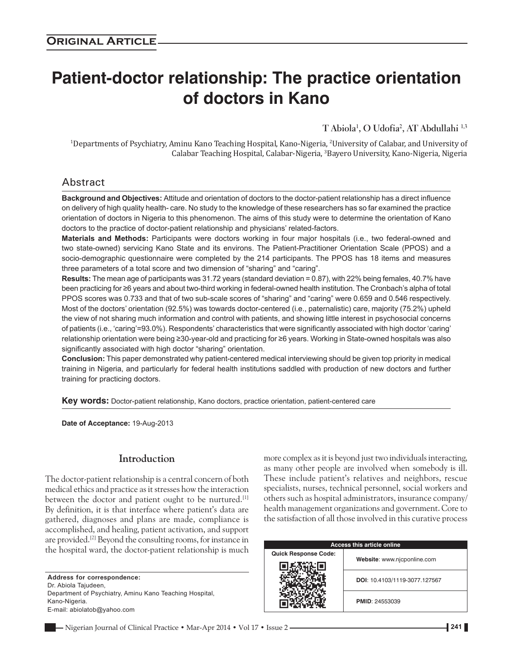# **Patient‑doctor relationship: The practice orientation of doctors in Kano**

**T Abiola1 , O Udofia2 , AT Abdullahi 1,3**

1 Departments of Psychiatry, Aminu Kano Teaching Hospital, Kano‑Nigeria, 2 University of Calabar, and University of Calabar Teaching Hospital, Calabar‑Nigeria, 3 Bayero University, Kano‑Nigeria, Nigeria

# Abstract

**Background and Objectives:** Attitude and orientation of doctors to the doctor‑patient relationship has a direct influence on delivery of high quality health-care. No study to the knowledge of these researchers has so far examined the practice orientation of doctors in Nigeria to this phenomenon. The aims of this study were to determine the orientation of Kano doctors to the practice of doctor-patient relationship and physicians' related-factors.

**Materials and Methods:** Participants were doctors working in four major hospitals (i.e., two federal‑owned and two state-owned) servicing Kano State and its environs. The Patient-Practitioner Orientation Scale (PPOS) and a socio-demographic questionnaire were completed by the 214 participants. The PPOS has 18 items and measures three parameters of a total score and two dimension of "sharing" and "caring".

**Results:** The mean age of participants was 31.72 years (standard deviation = 0.87), with 22% being females, 40.7% have been practicing for ≥6 years and about two‑third working in federal‑owned health institution. The Cronbach's alpha of total PPOS scores was 0.733 and that of two sub-scale scores of "sharing" and "caring" were 0.659 and 0.546 respectively. Most of the doctors' orientation (92.5%) was towards doctor-centered (i.e., paternalistic) care, majority (75.2%) upheld the view of not sharing much information and control with patients, and showing little interest in psychosocial concerns of patients (i.e., 'caring'=93.0%). Respondents' characteristics that were significantly associated with high doctor 'caring' relationship orientation were being ≥30‑year‑old and practicing for ≥6 years. Working in State‑owned hospitals was also significantly associated with high doctor "sharing" orientation.

**Conclusion:** This paper demonstrated why patient‑centered medical interviewing should be given top priority in medical training in Nigeria, and particularly for federal health institutions saddled with production of new doctors and further training for practicing doctors.

**Key words:** Doctor-patient relationship, Kano doctors, practice orientation, patient-centered care

**Date of Acceptance:** 19‑Aug‑2013

## **Introduction**

The doctor-patient relationship is a central concern of both medical ethics and practice as it stresses how the interaction between the doctor and patient ought to be nurtured.<sup>[1]</sup> By definition, it is that interface where patient's data are gathered, diagnoses and plans are made, compliance is accomplished, and healing, patient activation, and support are provided.<sup>[2]</sup> Beyond the consulting rooms, for instance in the hospital ward, the doctor‑patient relationship is much

**Address for correspondence:** Dr. Abiola Tajudeen, Department of Psychiatry, Aminu Kano Teaching Hospital, Kano‑Nigeria. E‑mail: abiolatob@yahoo.com

more complex as it is beyond just two individuals interacting, as many other people are involved when somebody is ill. These include patient's relatives and neighbors, rescue specialists, nurses, technical personnel, social workers and others such as hospital administrators, insurance company/ health management organizations and government. Core to the satisfaction of all those involved in this curative process

| <b>Access this article online</b> |                               |  |  |  |  |
|-----------------------------------|-------------------------------|--|--|--|--|
| <b>Quick Response Code:</b>       | Website: www.njcponline.com   |  |  |  |  |
|                                   | DOI: 10.4103/1119-3077.127567 |  |  |  |  |
|                                   | <b>PMID: 24553039</b>         |  |  |  |  |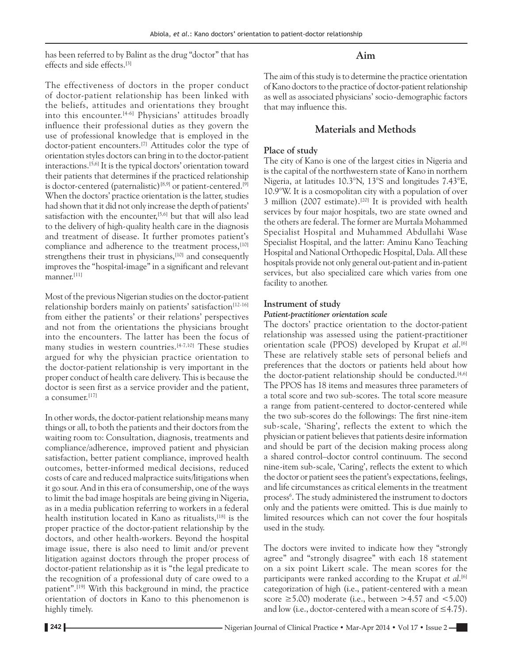has been referred to by Balint as the drug "doctor" that has effects and side effects.[3]

The effectiveness of doctors in the proper conduct of doctor‑patient relationship has been linked with the beliefs, attitudes and orientations they brought into this encounter.<sup>[4-6]</sup> Physicians' attitudes broadly influence their professional duties as they govern the use of professional knowledge that is employed in the doctor-patient encounters.<sup>[7]</sup> Attitudes color the type of orientation styles doctors can bring in to the doctor‑patient interactions.[5,6] It is the typical doctors' orientation toward their patients that determines if the practiced relationship is doctor-centered (paternalistic)<sup>[8,9]</sup> or patient-centered.<sup>[9]</sup> When the doctors' practice orientation is the latter, studies had shown that it did not only increase the depth of patients' satisfaction with the encounter,  $[5,6]$  but that will also lead to the delivery of high‑quality health care in the diagnosis and treatment of disease. It further promotes patient's compliance and adherence to the treatment process,<sup>[10]</sup> strengthens their trust in physicians,<sup>[10]</sup> and consequently improves the "hospital-image" in a significant and relevant manner.<sup>[11]</sup>

Most of the previous Nigerian studies on the doctor-patient relationship borders mainly on patients' satisfaction<sup>[12-16]</sup> from either the patients' or their relations' perspectives and not from the orientations the physicians brought into the encounters. The latter has been the focus of many studies in western countries.<sup>[4-7,10]</sup> These studies argued for why the physician practice orientation to the doctor‑patient relationship is very important in the proper conduct of health care delivery. This is because the doctor is seen first as a service provider and the patient, a consumer.[17]

In other words, the doctor‑patient relationship means many things or all, to both the patients and their doctors from the waiting room to: Consultation, diagnosis, treatments and compliance/adherence, improved patient and physician satisfaction, better patient compliance, improved health outcomes, better‑informed medical decisions, reduced costs of care and reduced malpractice suits/litigations when it go sour. And in this era of consumership, one of the ways to limit the bad image hospitals are being giving in Nigeria, as in a media publication referring to workers in a federal health institution located in Kano as ritualists, <a>[18]</a> is the proper practice of the doctor‑patient relationship by the doctors, and other health-workers. Beyond the hospital image issue, there is also need to limit and/or prevent litigation against doctors through the proper process of doctor‑patient relationship as it is "the legal predicate to the recognition of a professional duty of care owed to a patient".[19] With this background in mind, the practice orientation of doctors in Kano to this phenomenon is highly timely.

# **Aim**

The aim of this study is to determine the practice orientation of Kano doctors to the practice of doctor‑patient relationship as well as associated physicians' socio‑demographic factors that may influence this.

# **Materials and Methods**

# **Place of study**

The city of Kano is one of the largest cities in Nigeria and is the capital of the northwestern state of Kano in northern Nigeria, at latitudes 10.3°N, 13°S and longitudes 7.43°E, 10.9°W. It is a cosmopolitan city with a population of over 3 million (2007 estimate).<sup>[20]</sup> It is provided with health services by four major hospitals, two are state owned and the others are federal. The former are Murtala Mohammed Specialist Hospital and Muhammed Abdullahi Wase Specialist Hospital, and the latter: Aminu Kano Teaching Hospital and National Orthopedic Hospital, Dala. All these hospitals provide not only general out-patient and in-patient services, but also specialized care which varies from one facility to another.

## **Instrument of study**

## *Patient‑practitioner orientation scale*

The doctors' practice orientation to the doctor-patient relationship was assessed using the patient‑practitioner orientation scale (PPOS) developed by Krupat *et al*. [6] These are relatively stable sets of personal beliefs and preferences that the doctors or patients held about how the doctor-patient relationship should be conducted.<sup>[4,6]</sup> The PPOS has 18 items and measures three parameters of a total score and two sub‑scores. The total score measure a range from patient-centered to doctor-centered while the two sub‑scores do the followings: The first nine‑item sub‑scale, 'Sharing', reflects the extent to which the physician or patient believes that patients desire information and should be part of the decision making process along a shared control–doctor control continuum. The second nine‑item sub‑scale, 'Caring', reflects the extent to which the doctor or patient sees the patient's expectations, feelings, and life circumstances as critical elements in the treatment process<sup>6</sup>. The study administered the instrument to doctors only and the patients were omitted. This is due mainly to limited resources which can not cover the four hospitals used in the study.

The doctors were invited to indicate how they "strongly agree" and "strongly disagree" with each 18 statement on a six point Likert scale. The mean scores for the participants were ranked according to the Krupat *et al*. [6] categorization of high (i.e., patient‑centered with a mean score  $\geq$ 5.00) moderate (i.e., between  $>$ 4.57 and  $<$ 5.00) and low (i.e., doctor-centered with a mean score of  $\leq 4.75$ ).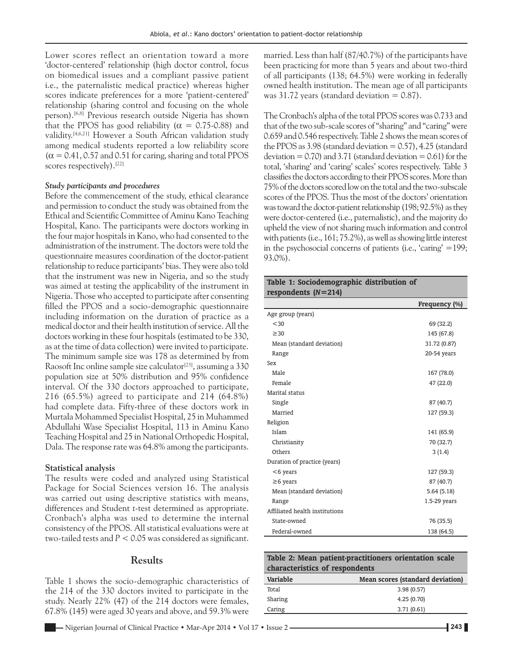Lower scores reflect an orientation toward a more 'doctor‑centered' relationship (high doctor control, focus on biomedical issues and a compliant passive patient i.e., the paternalistic medical practice) whereas higher scores indicate preferences for a more 'patient-centered' relationship (sharing control and focusing on the whole person).<sup>[6,8]</sup> Previous research outside Nigeria has shown that the PPOS has good reliability ( $\alpha = 0.75$ -0.88) and validity.[4,6,21] However a South African validation study among medical students reported a low reliability score  $(\alpha = 0.41, 0.57, \text{ and } 0.51 \text{ for caring, sharing and total PPOS$ scores respectively).<sup>[22]</sup>

#### *Study participants and procedures*

Before the commencement of the study, ethical clearance and permission to conduct the study was obtained from the Ethical and Scientific Committee of Aminu Kano Teaching Hospital, Kano. The participants were doctors working in the four major hospitals in Kano, who had consented to the administration of the instrument. The doctors were told the questionnaire measures coordination of the doctor‑patient relationship to reduce participants' bias. They were also told that the instrument was new in Nigeria, and so the study was aimed at testing the applicability of the instrument in Nigeria. Those who accepted to participate after consenting filled the PPOS and a socio-demographic questionnaire including information on the duration of practice as a medical doctor and their health institution of service. All the doctors working in these four hospitals (estimated to be 330, as at the time of data collection) were invited to participate. The minimum sample size was 178 as determined by from Raosoft Inc online sample size calculator<sup>[23]</sup>, assuming a  $330$ population size at 50% distribution and 95% confidence interval. Of the 330 doctors approached to participate, 216 (65.5%) agreed to participate and 214 (64.8%) had complete data. Fifty-three of these doctors work in Murtala Mohammed Specialist Hospital, 25 in Muhammed Abdullahi Wase Specialist Hospital, 113 in Aminu Kano Teaching Hospital and 25 in National Orthopedic Hospital, Dala. The response rate was 64.8% among the participants.

#### **Statistical analysis**

The results were coded and analyzed using Statistical Package for Social Sciences version 16. The analysis was carried out using descriptive statistics with means, differences and Student *t*‑test determined as appropriate. Cronbach's alpha was used to determine the internal consistency of the PPOS. All statistical evaluations were at two-tailed tests and  $P < 0.05$  was considered as significant.

#### **Results**

Table 1 shows the socio-demographic characteristics of the 214 of the 330 doctors invited to participate in the study. Nearly 22% (47) of the 214 doctors were females, 67.8% (145) were aged 30 years and above, and 59.3% were

married. Less than half (87/40.7%) of the participants have been practicing for more than 5 years and about two-third of all participants (138; 64.5%) were working in federally owned health institution. The mean age of all participants was  $31.72$  years (standard deviation = 0.87).

The Cronbach's alpha of the total PPOS scores was 0.733 and that of the two sub‑scale scores of "sharing" and "caring" were 0.659 and 0.546 respectively. Table 2 shows the mean scores of the PPOS as  $3.98$  (standard deviation = 0.57),  $4.25$  (standard deviation =  $0.70$ ) and 3.71 (standard deviation =  $0.61$ ) for the total, 'sharing' and 'caring' scales' scores respectively. Table 3 classifies the doctors according to their PPOS scores. More than 75% of the doctors scored low on the total and the two‑subscale scores of the PPOS. Thus the most of the doctors' orientation was toward the doctor-patient relationship (198; 92.5%) as they were doctor-centered (i.e., paternalistic), and the majority do upheld the view of not sharing much information and control with patients (i.e., 161; 75.2%), as well as showing little interest in the psychosocial concerns of patients (i.e., 'caring' =199; 93.0%).

## **Table 1: Sociodemographic distribution of respondents (***N***=214)**

|                                | Frequency (%) |
|--------------------------------|---------------|
| Age group (years)              |               |
| < 30                           | 69 (32.2)     |
| $\geq$ 30                      | 145 (67.8)    |
| Mean (standard deviation)      | 31.72 (0.87)  |
| Range                          | 20-54 years   |
| Sex                            |               |
| Male                           | 167 (78.0)    |
| Female                         | 47 (22.0)     |
| Marital status                 |               |
| Single                         | 87 (40.7)     |
| Married                        | 127 (59.3)    |
| Religion                       |               |
| Islam                          | 141 (65.9)    |
| Christianity                   | 70 (32.7)     |
| Others                         | 3(1.4)        |
| Duration of practice (years)   |               |
| $<$ 6 years                    | 127 (59.3)    |
| $\geq$ 6 years                 | 87 (40.7)     |
| Mean (standard deviation)      | 5.64(5.18)    |
| Range                          | 1.5-29 years  |
| Affiliated health institutions |               |
| State-owned                    | 76 (35.5)     |
| Federal-owned                  | 138 (64.5)    |

| Table 2: Mean patient-practitioners orientation scale |                                  |  |  |  |  |  |
|-------------------------------------------------------|----------------------------------|--|--|--|--|--|
| characteristics of respondents                        |                                  |  |  |  |  |  |
| Variable                                              | Mean scores (standard deviation) |  |  |  |  |  |
| Total                                                 | 3.98(0.57)                       |  |  |  |  |  |
| Sharing                                               | 4.25(0.70)                       |  |  |  |  |  |
| Caring                                                | 3.71(0.61)                       |  |  |  |  |  |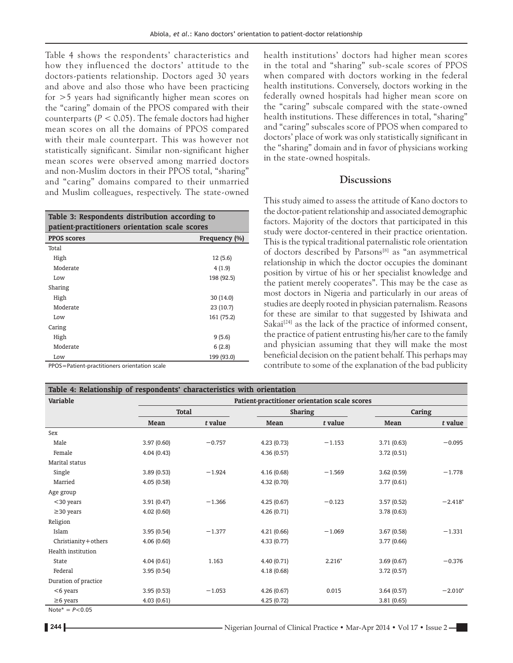Table 4 shows the respondents' characteristics and how they influenced the doctors' attitude to the doctors‑patients relationship. Doctors aged 30 years and above and also those who have been practicing for >5 years had significantly higher mean scores on the "caring" domain of the PPOS compared with their counterparts (*P* < 0.05). The female doctors had higher mean scores on all the domains of PPOS compared with their male counterpart. This was however not statistically significant. Similar non‑significant higher mean scores were observed among married doctors and non‑Muslim doctors in their PPOS total, "sharing" and "caring" domains compared to their unmarried and Muslim colleagues, respectively. The state-owned

**Table 3: Respondents distribution according to patient-practitioners orientation scale scores**

| <b>PPOS scores</b> | Frequency (%) |  |  |
|--------------------|---------------|--|--|
| Total              |               |  |  |
| High               | 12(5.6)       |  |  |
| Moderate           | 4(1.9)        |  |  |
| Low                | 198 (92.5)    |  |  |
| Sharing            |               |  |  |
| High               | 30(14.0)      |  |  |
| Moderate           | 23 (10.7)     |  |  |
| Low                | 161 (75.2)    |  |  |
| Caring             |               |  |  |
| High               | 9(5.6)        |  |  |
| Moderate           | 6(2.8)        |  |  |
| Low                | 199 (93.0)    |  |  |

PPOS=Patient‑practitioners orientation scale

health institutions' doctors had higher mean scores in the total and "sharing" sub‑scale scores of PPOS when compared with doctors working in the federal health institutions. Conversely, doctors working in the federally owned hospitals had higher mean score on the "caring" subscale compared with the state‑owned health institutions. These differences in total, "sharing" and "caring" subscales score of PPOS when compared to doctors' place of work was only statistically significant in the "sharing" domain and in favor of physicians working in the state‑owned hospitals.

## **Discussions**

This study aimed to assess the attitude of Kano doctors to the doctor‑patient relationship and associated demographic factors. Majority of the doctors that participated in this study were doctor-centered in their practice orientation. This is the typical traditional paternalistic role orientation of doctors described by Parsons[8] as "an asymmetrical relationship in which the doctor occupies the dominant position by virtue of his or her specialist knowledge and the patient merely cooperates". This may be the case as most doctors in Nigeria and particularly in our areas of studies are deeply rooted in physician paternalism. Reasons for these are similar to that suggested by Ishiwata and Sakai $[24]$  as the lack of the practice of informed consent, the practice of patient entrusting his/her care to the family and physician assuming that they will make the most beneficial decision on the patient behalf. This perhaps may contribute to some of the explanation of the bad publicity

| Variable             |              | Patient-practitioner orientation scale scores |                |          |            |           |
|----------------------|--------------|-----------------------------------------------|----------------|----------|------------|-----------|
|                      | <b>Total</b> |                                               | <b>Sharing</b> |          | Caring     |           |
|                      | Mean         | t value                                       | Mean           | t value  | Mean       | t value   |
| Sex                  |              |                                               |                |          |            |           |
| Male                 | 3.97(0.60)   | $-0.757$                                      | 4.23(0.73)     | $-1.153$ | 3.71(0.63) | $-0.095$  |
| Female               | 4.04(0.43)   |                                               | 4.36(0.57)     |          | 3.72(0.51) |           |
| Marital status       |              |                                               |                |          |            |           |
| Single               | 3.89(0.53)   | $-1.924$                                      | 4.16(0.68)     | $-1.569$ | 3.62(0.59) | $-1.778$  |
| Married              | 4.05(0.58)   |                                               | 4.32(0.70)     |          | 3.77(0.61) |           |
| Age group            |              |                                               |                |          |            |           |
| $<$ 30 years         | 3.91(0.47)   | $-1.366$                                      | 4.25(0.67)     | $-0.123$ | 3.57(0.52) | $-2.418*$ |
| $\geq$ 30 years      | 4.02(0.60)   |                                               | 4.26(0.71)     |          | 3.78(0.63) |           |
| Religion             |              |                                               |                |          |            |           |
| Islam                | 3.95(0.54)   | $-1.377$                                      | 4.21(0.66)     | $-1.069$ | 3.67(0.58) | $-1.331$  |
| Christianity+others  | 4.06(0.60)   |                                               | 4.33(0.77)     |          | 3.77(0.66) |           |
| Health institution   |              |                                               |                |          |            |           |
| State                | 4.04(0.61)   | 1.163                                         | 4.40(0.71)     | $2.216*$ | 3.69(0.67) | $-0.376$  |
| Federal              | 3.95(0.54)   |                                               | 4.18(0.68)     |          | 3.72(0.57) |           |
| Duration of practice |              |                                               |                |          |            |           |
| $<$ 6 years          | 3.95(0.53)   | $-1.053$                                      | 4.26(0.67)     | 0.015    | 3.64(0.57) | $-2.010*$ |
| $\geq$ 6 years       | 4.03(0.61)   |                                               | 4.25(0.72)     |          | 3.81(0.65) |           |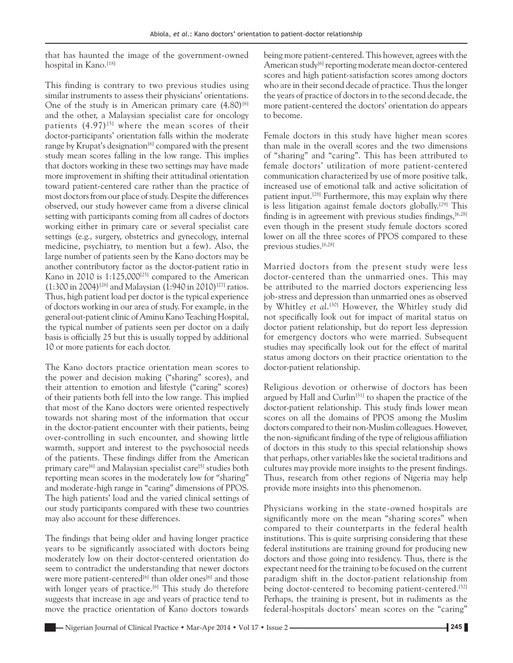that has haunted the image of the government‑owned hospital in Kano.<sup>[18]</sup>

This finding is contrary to two previous studies using similar instruments to assess their physicians' orientations. One of the study is in American primary care  $(4.80)^{6}$ and the other, a Malaysian specialist care for oncology patients  $(4.97)^{5}$  where the mean scores of their doctor-participants' orientation falls within the moderate range by Krupat's designation<sup>[6]</sup> compared with the present study mean scores falling in the low range. This implies that doctors working in these two settings may have made more improvement in shifting their attitudinal orientation toward patient‑centered care rather than the practice of most doctors from our place of study. Despite the differences observed, our study however came from a diverse clinical setting with participants coming from all cadres of doctors working either in primary care or several specialist care settings (e.g., surgery, obstetrics and gynecology, internal medicine, psychiatry, to mention but a few). Also, the large number of patients seen by the Kano doctors may be another contributory factor as the doctor-patient ratio in Kano in 2010 is 1:125,000<sup>[25]</sup> compared to the American  $(1:300 \text{ in } 2004)^{[26]}$  and Malaysian  $(1:940 \text{ in } 2010)^{[27]}$  ratios. Thus, high patient load per doctor is the typical experience of doctors working in our area of study. For example, in the general out‑patient clinic of Aminu Kano Teaching Hospital, the typical number of patients seen per doctor on a daily basis is officially 25 but this is usually topped by additional 10 or more patients for each doctor.

The Kano doctors practice orientation mean scores to the power and decision making ("sharing" scores), and their attention to emotion and lifestyle ("caring" scores) of their patients both fell into the low range. This implied that most of the Kano doctors were oriented respectively towards not sharing most of the information that occur in the doctor‑patient encounter with their patients, being over‑controlling in such encounter, and showing little warmth, support and interest to the psychosocial needs of the patients. These findings differ from the American primary care<sup>[6]</sup> and Malaysian specialist care<sup>[5]</sup> studies both reporting mean scores in the moderately low for "sharing" and moderate‑high range in "caring" dimensions of PPOS. The high patients' load and the varied clinical settings of our study participants compared with these two countries may also account for these differences.

The findings that being older and having longer practice years to be significantly associated with doctors being moderately low on their doctor-centered orientation do seem to contradict the understanding that newer doctors were more patient-centered<sup>[6]</sup> than older ones<sup>[6]</sup> and those with longer years of practice.<sup>[6]</sup> This study do therefore suggests that increase in age and years of practice tend to move the practice orientation of Kano doctors towards being more patient-centered. This however, agrees with the American study<sup>[6]</sup> reporting moderate mean doctor-centered scores and high patient-satisfaction scores among doctors who are in their second decade of practice. Thus the longer the years of practice of doctors in to the second decade, the more patient-centered the doctors' orientation do appears to become.

Female doctors in this study have higher mean scores than male in the overall scores and the two dimensions of "sharing" and "caring". This has been attributed to female doctors' utilization of more patient‑centered communication characterized by use of more positive talk, increased use of emotional talk and active solicitation of patient input.<sup>[28]</sup> Furthermore, this may explain why there is less litigation against female doctors globally.<sup>[29]</sup> This finding is in agreement with previous studies findings,  $[6,28]$ even though in the present study female doctors scored lower on all the three scores of PPOS compared to these previous studies.<sup>[6,28]</sup>

Married doctors from the present study were less doctor-centered than the unmarried ones. This may be attributed to the married doctors experiencing less job-stress and depression than unmarried ones as observed by Whitley *et al*. [30] However, the Whitley study did not specifically look out for impact of marital status on doctor patient relationship, but do report less depression for emergency doctors who were married. Subsequent studies may specifically look out for the effect of marital status among doctors on their practice orientation to the doctor‑patient relationship.

Religious devotion or otherwise of doctors has been argued by Hall and Curlin<sup>[31]</sup> to shapen the practice of the doctor‑patient relationship. This study finds lower mean scores on all the domains of PPOS among the Muslim doctors compared to their non‑Muslim colleagues. However, the non‑significant finding of the type of religious affiliation of doctors in this study to this special relationship shows that perhaps, other variables like the societal traditions and cultures may provide more insights to the present findings. Thus, research from other regions of Nigeria may help provide more insights into this phenomenon.

Physicians working in the state‑owned hospitals are significantly more on the mean "sharing scores" when compared to their counterparts in the federal health institutions. This is quite surprising considering that these federal institutions are training ground for producing new doctors and those going into residency. Thus, there is the expectant need for the training to be focused on the current paradigm shift in the doctor‑patient relationship from being doctor-centered to becoming patient-centered.<sup>[32]</sup> Perhaps, the training is present, but in rudiments as the federal‑hospitals doctors' mean scores on the "caring"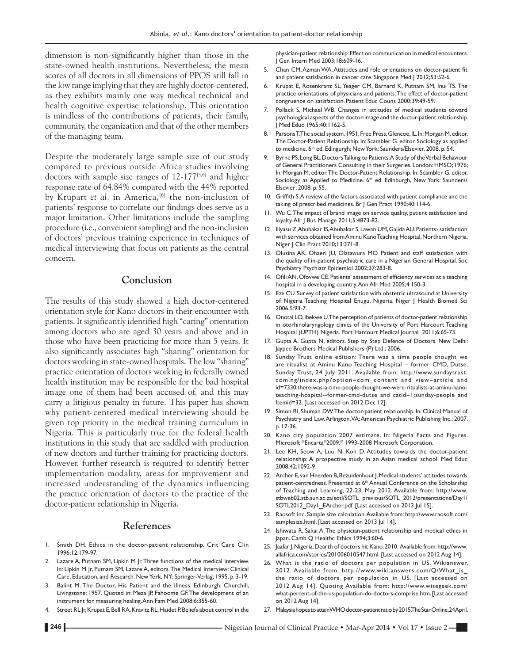dimension is non-significantly higher than those in the state-owned health institutions. Nevertheless, the mean scores of all doctors in all dimensions of PPOS still fall in the low range implying that they are highly doctor‑centered, as they exhibits mainly one way medical technical and health cognitive expertise relationship. This orientation is mindless of the contributions of patients, their family, community, the organization and that of the other members of the managing team.

Despite the moderately large sample size of our study compared to previous outside Africa studies involving doctors with sample size ranges of 12-177<sup>[5,6]</sup> and higher response rate of 64.84% compared with the 44% reported by Krupart *et al.* in America,<sup>[6]</sup> the non-inclusion of patients' response to correlate our findings does serve as a major limitation. Other limitations include the sampling procedure (i.e., convenient sampling) and the non‑inclusion of doctors' previous training experience in techniques of medical interviewing that focus on patients as the central concern.

## **Conclusion**

The results of this study showed a high doctor-centered orientation style for Kano doctors in their encounter with patients. It significantly identified high "caring" orientation among doctors who are aged 30 years and above and in those who have been practicing for more than 5 years. It also significantly associates high "sharing" orientation for doctors working in state‑owned hospitals. The low "sharing" practice orientation of doctors working in federally owned health institution may be responsible for the bad hospital image one of them had been accused of, and this may carry a litigious penalty in future. This paper has shown why patient-centered medical interviewing should be given top priority in the medical training curriculum in Nigeria. This is particularly true for the federal health institutions in this study that are saddled with production of new doctors and further training for practicing doctors. However, further research is required to identify better implementation modality, areas for improvement and increased understanding of the dynamics influencing the practice orientation of doctors to the practice of the doctor‑patient relationship in Nigeria.

#### **References**

- 1. Smith DH. Ethics in the doctor-patient relationship. Crit Care Clin 1996;12:179‑97.
- Lazare A, Putnam SM, Lipkin M Jr. Three functions of the medical interview. In: Lipkin M Jr, Putnam SM, Lazare A, editors. The Medical Interview: Clinical Care, Education, and Research. NewYork, NY: Springer‑Verlag; 1995. p. 3‑19.
- 3. Balint M. The Doctor, His Patient and the Illness. Edinburgh: Churchill, Livingstone; 1957. Quoted in: Meza JP, Fahoome GF. The development of an instrument for measuring healing. Ann Fam Med 2008;6:355-60.
- 4. Street RL Jr, Krupat E, Bell RA, Kravitz RL, Haidet P. Beliefs about control in the

physician‑patient relationship: Effect on communication in medical encounters. J Gen Intern Med 2003;18:609‑16.

- 5. Chan CM, Azman WA. Attitudes and role orientations on doctor-patient fit and patient satisfaction in cancer care. Singapore Med J 2012;53:52-6.
- 6. Krupat E, Rosenkranz SL, Yeager CM, Barnard K, Putnam SM, Inui TS. The practice orientations of physicians and patients: The effect of doctor-patient congruence on satisfaction. Patient Educ Couns 2000;39:49‑59.
- 7. Pollack S, Michael WB. Changes in attitudes of medical students toward psychological aspects of the doctor‑image and the doctor‑patient relationship. J Med Educ 1965;40:1162‑5.
- 8. Parsons T. The social system. 1951, Free Press, Glencoe, IL. In: Morgan M, editor. The Doctor‑Patient Relationship. In: Scambler G. editor. Sociology as applied to medicine. 6<sup>th</sup> ed. Edingurgh; New York: Saunders/Elsevier, 2008, p. 54.
- 9. Byrne PS, Long BL. Doctors Talking to Patients: A Study of the Verbal Behaviour of General Practitioners Consulting in their Surgeries. London: HMSO; 1976; In: Morgan M, editor. The Doctor-Patient Relationship; In: Scambler G, editor. Sociology as Applied to Medicine. 6<sup>th</sup> ed. Edinburgh, New York: Saunders/ Elsevier; 2008. p. 55.
- 10. Griffith S.A review of the factors associated with patient compliance and the taking of prescribed medicines. Br J Gen Pract 1990;40:114-6.
- 11. Wu C. The impact of brand image on service quality, patient satisfaction and loyalty. Afr J Bus Manage 2011;5:4873‑82.
- 12. Iliyasu Z, Abubakar IS, Abubakar S, Lawan UM, GajidaAU. Patients› satisfaction with services obtained from Aminu Kano Teaching Hospital, Northern Nigeria. Niger J Clin Pract 2010;13:371‑8.
- 13. Olusina AK, Ohaeri JU, Olatawura MO. Patient and staff satisfaction with the quality of in-patient psychiatric care in a Nigerian General Hospital. Soc Psychiatry Psychiatr Epidemiol 2002;37:283‑8.
- 14. OfiliAN, Ofovwe CE. Patients' assessment of efficiency services at a teaching hospital in a developing country. Ann Afr Med 2005;4:150-3.
- 15. Eze CU. Survey of patient satisfaction with obstetric ultrasound at University of Nigeria Teaching Hospital Enugu, Nigeria. Niger J Health Biomed Sci 2006;5:93‑7.
- 16. Onotai LO, Ibekwe U. The perception of patients of doctor-patient relationship in otorhinolaryngology clinics of the University of Port Harcourt Teaching Hospital (UPTH) Nigeria. Port Harcourt Medical Journal 2011;6:65‑73.
- 17. Gupta A, Gupta N, editors. Step by Step Defence of Doctors. New Delhi: Jaypee Brothers Medical Publishers (P) Ltd.; 2006.
- 18. Sunday Trust online edition: There was a time people thought we are ritualist at Aminu Kano Teaching Hospital – former CMD, Dutse. Sunday Trust, 24 July 2011. Available from: http://www.sundaytrust. com.ng/index.php?option=com\_content and view=article and id=7330:there-was-a-time-people-thought-we-were-ritualists-at-aminu-kanoteaching-hospital--former-cmd-dutse and catid=1:sunday-people and Itemid=32. [Last accessed on 2012 Dec 12].
- 19. Simon RI, Shuman DW. The doctor-patient relationship. In: Clinical Manual of Psychiatry and Law. Arlington, VA: American Psychiatric Publishing Inc.; 2007. p. 17‑36.
- 20. Kano city population 2007 estimate. In: Nigeria Facts and Figures. Microsoft ®Encarta®2009.© 1993‑2008 Microsoft Corporation.
- 21. Lee KH, Seow A, Luo N, Koh D. Attitudes towards the doctor-patient relationship: A prospective study in an Asian medical school. Med Educ 2008;42:1092‑9.
- 22. Archer E, van Heerden B, Bezuidenhout J. Medical students' attitudes towards patient-centredness. Presented at 6<sup>th</sup> Annual Conference on the Scholarship of Teaching and Learning, 22‑23, May 2012. Available from: http://www. stbweb02.stb.sun.ac.za/sotl/SOTL\_previous/SOTL\_2012/presentations/Day1/ SOTL2012\_Day1\_EArcher.pdf. [Last accessed on 2013 Jul 15].
- 23. Raosoft Inc. Sample size calculation. Available from: http://www.raosoft.com/ samplesize.html. [Last accessed on 2013 Jul 14].
- 24. Ishiwata R, Sakai A. The physician-patient relationship and medical ethics in Japan. Camb Q Healthc Ethics 1994;3:60-6.
- 25. Jaafar J. Nigeria: Dearth of doctors hit Kano, 2010. Available from: http://www. allafrica.com/stories/201006010547.html. [Last accessed on 2012 Aug 14].
- 26. What is the ratio of doctors per population in US. Wikianswer, 2012. Available from: http://www.wiki.answers.com/Q/What\_is\_ the\_ratio\_of\_doctors\_per\_population\_in\_US. [Last accessed on 2012 Aug 14]. Quoting Available from: http://www.wisegeek.com/ what-percent-of-the-us-population-do-doctors-comprise.htm. [Last accessed on 2012 Aug 14].
- 27. Malaysia hopes to attain WHO doctor-patient ratio by 2015. The Star Online, 24April,